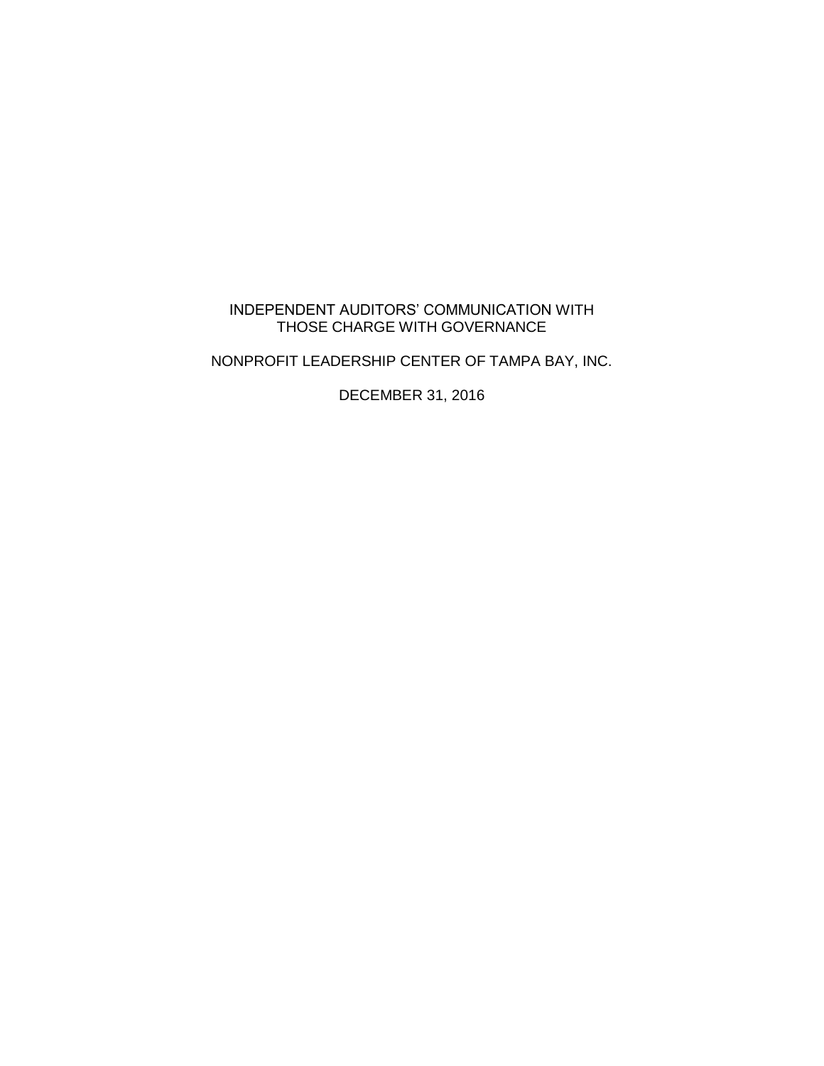# INDEPENDENT AUDITORS' COMMUNICATION WITH THOSE CHARGE WITH GOVERNANCE

NONPROFIT LEADERSHIP CENTER OF TAMPA BAY, INC.

DECEMBER 31, 2016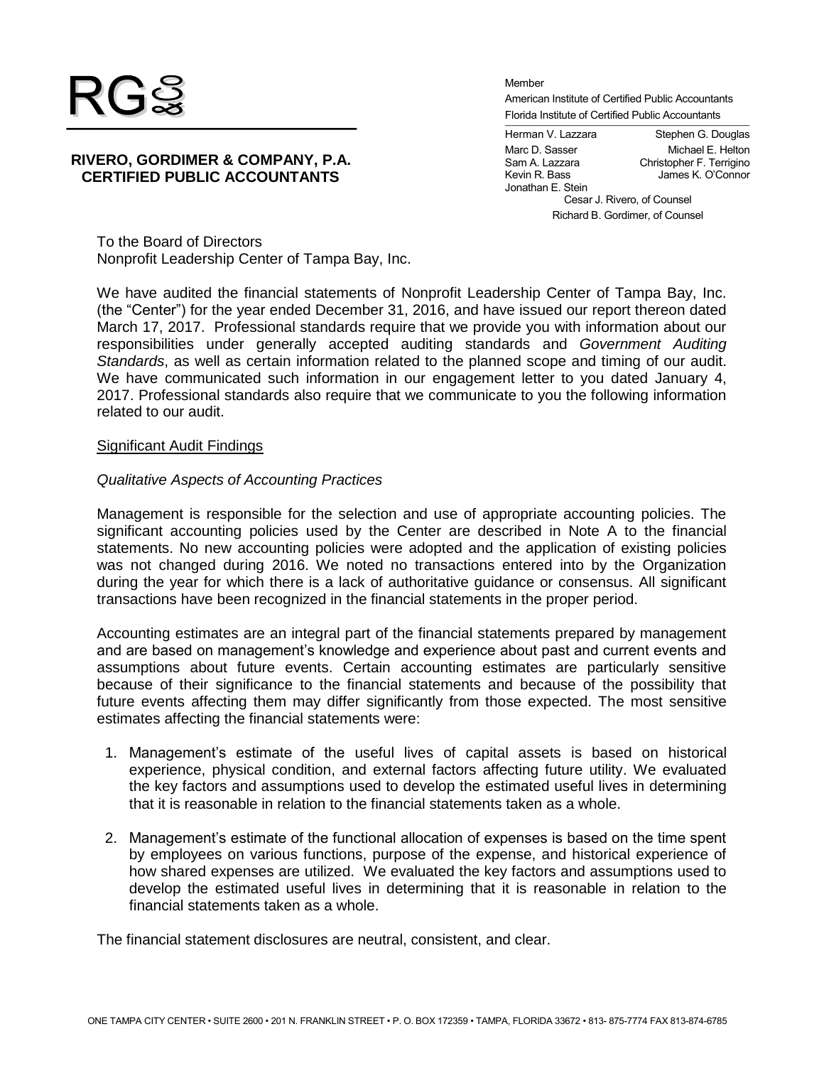

**RIVERO, GORDIMER & COMPANY, P.A. CERTIFIED PUBLIC ACCOUNTANTS**

Member American Institute of Certified Public Accountants Florida Institute of Certified Public Accountants

Herman V. Lazzara Stephen G. Douglas Marc D. Sasser Michael E. Helton<br>
Sam A. Lazzara Christopher F. Terrigino Sam A. Lazzara Christopher F. Terrigino James K. O'Connor Jonathan E. Stein Cesar J. Rivero, of Counsel Richard B. Gordimer, of Counsel

To the Board of Directors Nonprofit Leadership Center of Tampa Bay, Inc.

We have audited the financial statements of Nonprofit Leadership Center of Tampa Bay, Inc. (the "Center") for the year ended December 31, 2016, and have issued our report thereon dated March 17, 2017. Professional standards require that we provide you with information about our responsibilities under generally accepted auditing standards and *Government Auditing Standards*, as well as certain information related to the planned scope and timing of our audit. We have communicated such information in our engagement letter to you dated January 4, 2017. Professional standards also require that we communicate to you the following information related to our audit.

### Significant Audit Findings

## *Qualitative Aspects of Accounting Practices*

Management is responsible for the selection and use of appropriate accounting policies. The significant accounting policies used by the Center are described in Note A to the financial statements. No new accounting policies were adopted and the application of existing policies was not changed during 2016. We noted no transactions entered into by the Organization during the year for which there is a lack of authoritative guidance or consensus. All significant transactions have been recognized in the financial statements in the proper period.

Accounting estimates are an integral part of the financial statements prepared by management and are based on management's knowledge and experience about past and current events and assumptions about future events. Certain accounting estimates are particularly sensitive because of their significance to the financial statements and because of the possibility that future events affecting them may differ significantly from those expected. The most sensitive estimates affecting the financial statements were:

- 1. Management's estimate of the useful lives of capital assets is based on historical experience, physical condition, and external factors affecting future utility. We evaluated the key factors and assumptions used to develop the estimated useful lives in determining that it is reasonable in relation to the financial statements taken as a whole.
- 2. Management's estimate of the functional allocation of expenses is based on the time spent by employees on various functions, purpose of the expense, and historical experience of how shared expenses are utilized. We evaluated the key factors and assumptions used to develop the estimated useful lives in determining that it is reasonable in relation to the financial statements taken as a whole.

The financial statement disclosures are neutral, consistent, and clear.